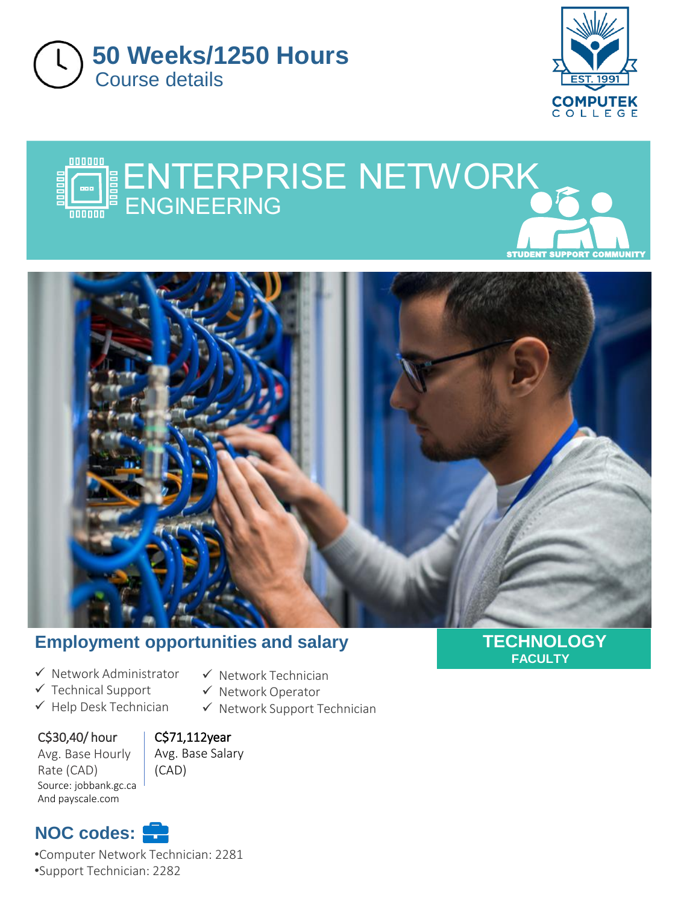







## **Employment opportunities and salary**

✓ Network Technician ✓ Network Operator

✓ Network Support Technician

- ✓ Network Administrator
- ✓ Technical Support
- ✓ Help Desk Technician
- C\$30,40/ hour

C\$71,112year

Avg. Base Hourly Rate (CAD) Source: jobbank.gc.ca And payscale.com

Avg. Base Salary (CAD)

# **NOC codes:**

•Computer Network Technician: 2281 •Support Technician: 2282

**TECHNOLOGY FACULTY**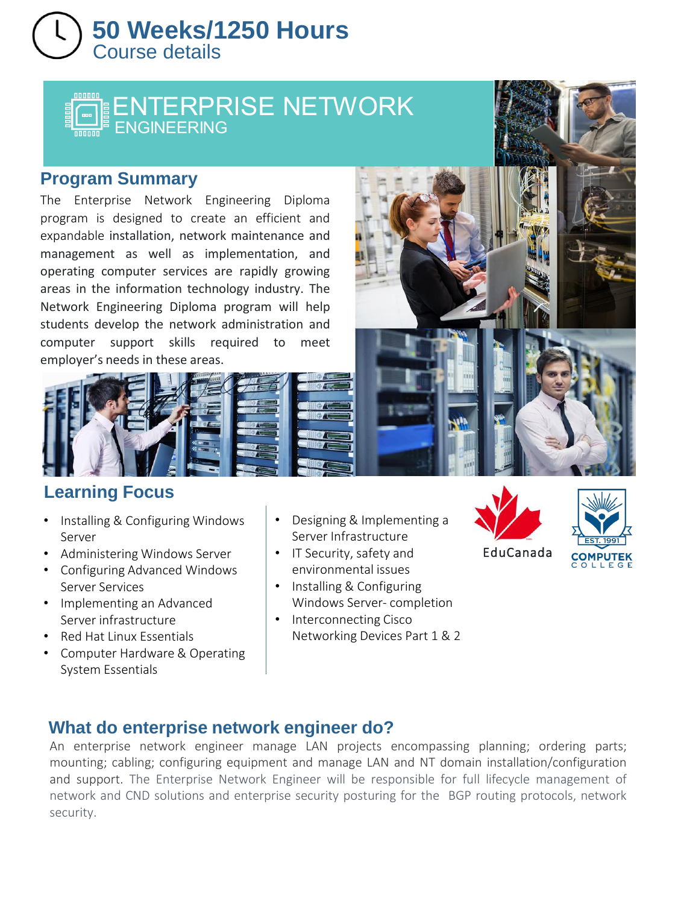# Course details **50 Weeks/1250 Hours**

# E Е

### **Program Summary**

The Enterprise Network Engineering Diploma program is designed to create an efficient and expandable installation, network maintenance and management as well as implementation, and operating computer services are rapidly growing areas in the information technology industry. The Network Engineering Diploma program will help students develop the network administration and computer support skills required to meet employer's needs in these areas.



## **Learning Focus**

- Installing & Configuring Windows Server
- Administering Windows Server
- Configuring Advanced Windows Server Services
- Implementing an Advanced Server infrastructure
- Red Hat Linux Essentials
- Computer Hardware & Operating System Essentials
- Designing & Implementing a Server Infrastructure
- IT Security, safety and environmental issues
- Installing & Configuring Windows Server- completion
- Interconnecting Cisco Networking Devices Part 1 & 2





## **What do enterprise network engineer do?**

An enterprise network engineer manage LAN projects encompassing planning; ordering parts; mounting; cabling; configuring equipment and manage LAN and NT domain installation/configuration and support. The Enterprise Network Engineer will be responsible for full lifecycle management of network and CND solutions and enterprise security posturing for the BGP routing protocols, network security.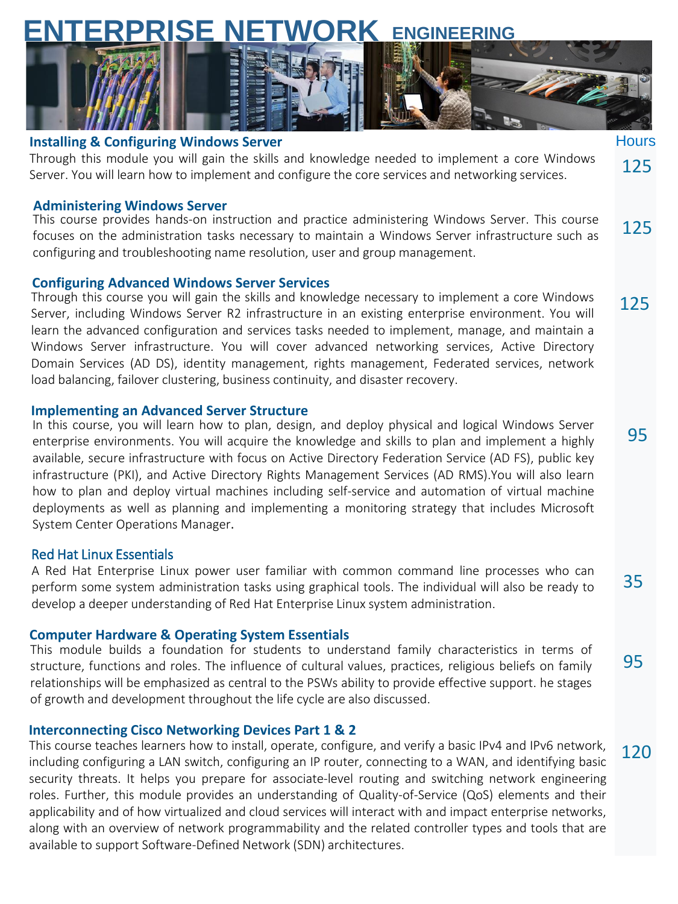# **ENTERPRISE NETWORK ENGINEERING**



#### **Installing & Configuring Windows Server**

Through this module you will gain the skills and knowledge needed to implement a core Windows Server. You will learn how to implement and configure the core services and networking services. 125

#### **Administering Windows Server**

125 This course provides hands-on instruction and practice administering Windows Server. This course focuses on the administration tasks necessary to maintain a Windows Server infrastructure such as configuring and troubleshooting name resolution, user and group management.

#### **Configuring Advanced Windows Server Services**

125 Through this course you will gain the skills and knowledge necessary to implement a core Windows Server, including Windows Server R2 infrastructure in an existing enterprise environment. You will learn the advanced configuration and services tasks needed to implement, manage, and maintain a Windows Server infrastructure. You will cover advanced networking services, Active Directory Domain Services (AD DS), identity management, rights management, Federated services, network load balancing, failover clustering, business continuity, and disaster recovery.

#### **Implementing an Advanced Server Structure**

In this course, you will learn how to plan, design, and deploy physical and logical Windows Server enterprise environments. You will acquire the knowledge and skills to plan and implement a highly available, secure infrastructure with focus on Active Directory Federation Service (AD FS), public key infrastructure (PKI), and Active Directory Rights Management Services (AD RMS).You will also learn how to plan and deploy virtual machines including self-service and automation of virtual machine deployments as well as planning and implementing a monitoring strategy that includes Microsoft System Center Operations Manager.

95

Hours

35

95

120

#### Red Hat Linux Essentials

A Red Hat Enterprise Linux power user familiar with common command line processes who can perform some system administration tasks using graphical tools. The individual will also be ready to develop a deeper understanding of Red Hat Enterprise Linux system administration.

#### **Computer Hardware & Operating System Essentials**

This module builds a foundation for students to understand family characteristics in terms of structure, functions and roles. The influence of cultural values, practices, religious beliefs on family relationships will be emphasized as central to the PSWs ability to provide effective support. he stages of growth and development throughout the life cycle are also discussed.

#### **Interconnecting Cisco Networking Devices Part 1 & 2**

This course teaches learners how to install, operate, configure, and verify a basic IPv4 and IPv6 network, including configuring a LAN switch, configuring an IP router, connecting to a WAN, and identifying basic security threats. It helps you prepare for associate-level routing and switching network engineering roles. Further, this module provides an understanding of Quality-of-Service (QoS) elements and their applicability and of how virtualized and cloud services will interact with and impact enterprise networks, along with an overview of network programmability and the related controller types and tools that are available to support Software-Defined Network (SDN) architectures.